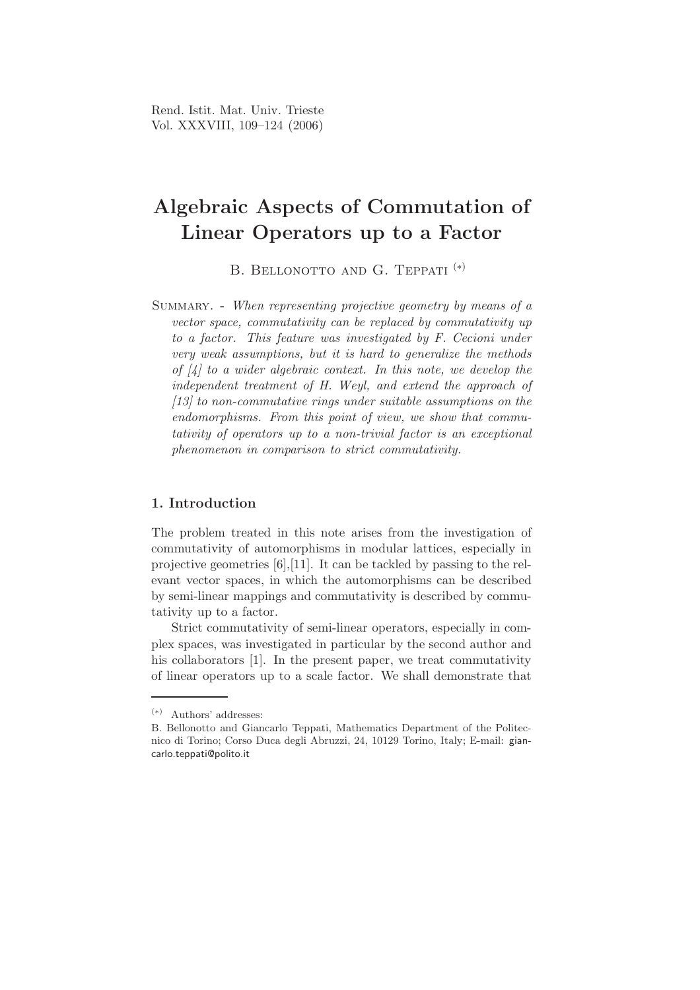# Algebraic Aspects of Commutation of Linear Operators up to a Factor

B. BELLONOTTO AND G. TEPPATI<sup>(\*)</sup>

SUMMARY. - When representing projective geometry by means of a vector space, commutativity can be replaced by commutativity up to a factor. This feature was investigated by F. Cecioni under very weak assumptions, but it is hard to generalize the methods of  $\mathcal{A}$  to a wider algebraic context. In this note, we develop the independent treatment of H. Weyl, and extend the approach of [13] to non-commutative rings under suitable assumptions on the endomorphisms. From this point of view, we show that commutativity of operators up to a non-trivial factor is an exceptional phenomenon in comparison to strict commutativity.

## 1. Introduction

The problem treated in this note arises from the investigation of commutativity of automorphisms in modular lattices, especially in projective geometries [6],[11]. It can be tackled by passing to the relevant vector spaces, in which the automorphisms can be described by semi-linear mappings and commutativity is described by commutativity up to a factor.

Strict commutativity of semi-linear operators, especially in complex spaces, was investigated in particular by the second author and his collaborators [1]. In the present paper, we treat commutativity of linear operators up to a scale factor. We shall demonstrate that

<sup>(</sup>∗) Authors' addresses:

B. Bellonotto and Giancarlo Teppati, Mathematics Department of the Politecnico di Torino; Corso Duca degli Abruzzi, 24, 10129 Torino, Italy; E-mail: giancarlo.teppati@polito.it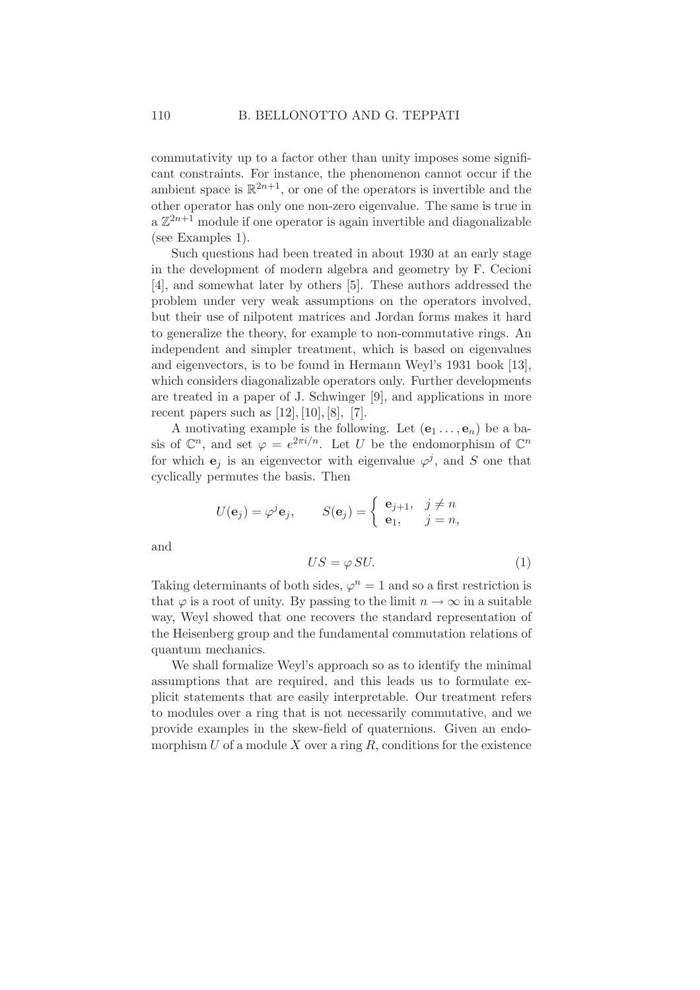commutativity up to a factor other than unity imposes some significant constraints. For instance, the phenomenon cannot occur if the ambient space is  $\mathbb{R}^{2n+1}$ , or one of the operators is invertible and the other operator has only one non-zero eigenvalue. The same is true in  $a \mathbb{Z}^{2n+1}$  module if one operator is again invertible and diagonalizable (see Examples 1).

Such questions had been treated in about 1930 at an early stage in the development of modern algebra and geometry by F. Cecioni [4], and somewhat later by others [5]. These authors addressed the problem under very weak assumptions on the operators involved, but their use of nilpotent matrices and Jordan forms makes it hard to generalize the theory, for example to non-commutative rings. An independent and simpler treatment, which is based on eigenvalues and eigenvectors, is to be found in Hermann Weyl's 1931 book [13], which considers diagonalizable operators only. Further developments are treated in a paper of J. Schwinger [9], and applications in more recent papers such as  $[12]$ ,  $[10]$ ,  $[8]$ ,  $[7]$ .

A motivating example is the following. Let  $(e_1 \ldots, e_n)$  be a basis of  $\mathbb{C}^n$ , and set  $\varphi = e^{2\pi i/n}$ . Let U be the endomorphism of  $\mathbb{C}^n$ for which  $e_j$  is an eigenvector with eigenvalue  $\varphi^j$ , and S one that cyclically permutes the basis. Then

$$
U(\mathbf{e}_j) = \varphi^j \mathbf{e}_j, \qquad S(\mathbf{e}_j) = \begin{cases} \mathbf{e}_{j+1}, & j \neq n \\ \mathbf{e}_1, & j = n, \end{cases}
$$

and

$$
US = \varphi \, SU. \tag{1}
$$

Taking determinants of both sides,  $\varphi^n = 1$  and so a first restriction is that  $\varphi$  is a root of unity. By passing to the limit  $n \to \infty$  in a suitable way, Weyl showed that one recovers the standard representation of the Heisenberg group and the fundamental commutation relations of quantum mechanics.

We shall formalize Weyl's approach so as to identify the minimal assumptions that are required, and this leads us to formulate explicit statements that are easily interpretable. Our treatment refers to modules over a ring that is not necessarily commutative, and we provide examples in the skew-field of quaternions. Given an endomorphism  $U$  of a module  $X$  over a ring  $R$ , conditions for the existence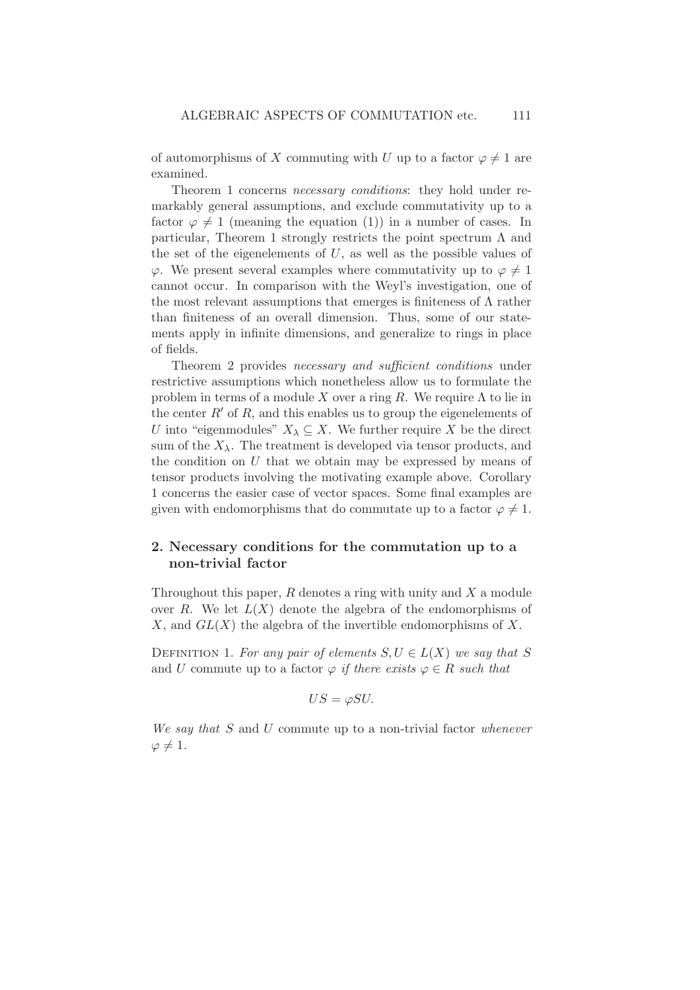of automorphisms of X commuting with U up to a factor  $\varphi \neq 1$  are examined.

Theorem 1 concerns necessary conditions: they hold under remarkably general assumptions, and exclude commutativity up to a factor  $\varphi \neq 1$  (meaning the equation (1)) in a number of cases. In particular, Theorem 1 strongly restricts the point spectrum  $\Lambda$  and the set of the eigenelements of  $U$ , as well as the possible values of  $\varphi$ . We present several examples where commutativity up to  $\varphi \neq 1$ cannot occur. In comparison with the Weyl's investigation, one of the most relevant assumptions that emerges is finiteness of  $\Lambda$  rather than finiteness of an overall dimension. Thus, some of our statements apply in infinite dimensions, and generalize to rings in place of fields.

Theorem 2 provides necessary and sufficient conditions under restrictive assumptions which nonetheless allow us to formulate the problem in terms of a module X over a ring R. We require  $\Lambda$  to lie in the center  $R'$  of R, and this enables us to group the eigenelements of U into "eigenmodules"  $X_{\lambda} \subseteq X$ . We further require X be the direct sum of the  $X_{\lambda}$ . The treatment is developed via tensor products, and the condition on  $U$  that we obtain may be expressed by means of tensor products involving the motivating example above. Corollary 1 concerns the easier case of vector spaces. Some final examples are given with endomorphisms that do commutate up to a factor  $\varphi \neq 1$ .

## 2. Necessary conditions for the commutation up to a non-trivial factor

Throughout this paper,  $R$  denotes a ring with unity and  $X$  a module over R. We let  $L(X)$  denote the algebra of the endomorphisms of X, and  $GL(X)$  the algebra of the invertible endomorphisms of X.

DEFINITION 1. For any pair of elements  $S, U \in L(X)$  we say that S and U commute up to a factor  $\varphi$  if there exists  $\varphi \in R$  such that

$$
US = \varphi SU.
$$

We say that S and U commute up to a non-trivial factor whenever  $\varphi \neq 1$ .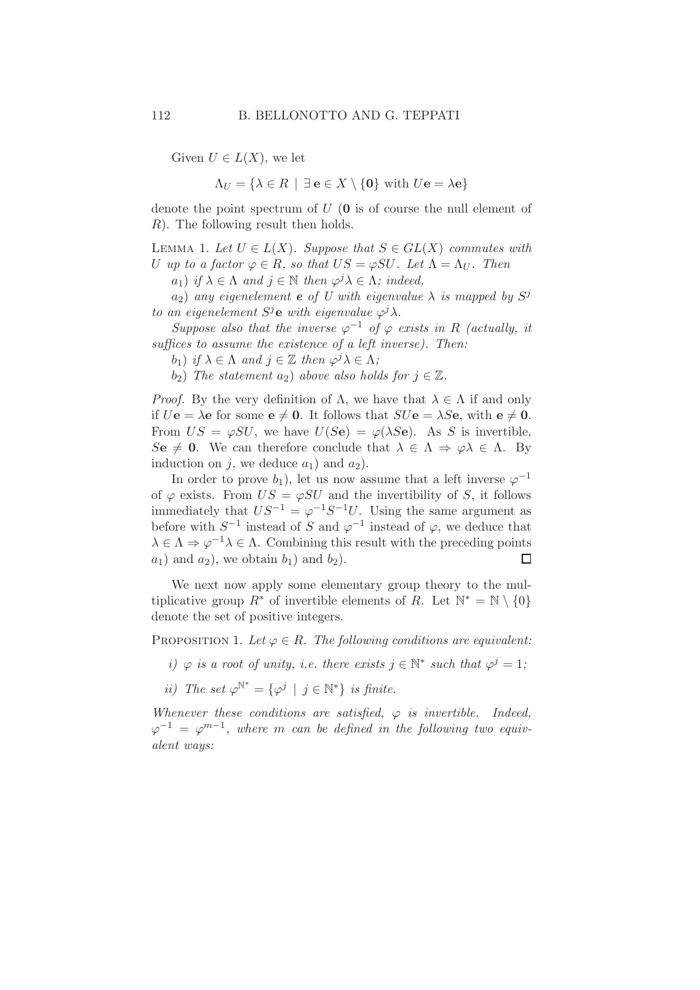Given  $U \in L(X)$ , we let

$$
\Lambda_U = \{ \lambda \in R \mid \exists \mathbf{e} \in X \setminus \{ \mathbf{0} \} \text{ with } U\mathbf{e} = \lambda \mathbf{e} \}
$$

denote the point spectrum of  $U(0)$  is of course the null element of R). The following result then holds.

LEMMA 1. Let  $U \in L(X)$ . Suppose that  $S \in GL(X)$  commutes with U up to a factor  $\varphi \in R$ , so that  $US = \varphi SU$ . Let  $\Lambda = \Lambda_U$ . Then

 $a_1$ ) if  $\lambda \in \Lambda$  and  $j \in \mathbb{N}$  then  $\varphi^j \lambda \in \Lambda$ ; indeed,

 $a_2)$  any eigenelement  $\bm{e}$  of  $\bar{U}$  with eigenvalue  $\lambda$  is mapped by  $S^j$ to an eigenelement  $S^j$ **e** with eigenvalue  $\varphi^j \lambda$ .

Suppose also that the inverse  $\varphi^{-1}$  of  $\varphi$  exists in R (actually, it suffices to assume the existence of a left inverse). Then:

b<sub>1</sub>) if  $\lambda \in \Lambda$  and  $j \in \mathbb{Z}$  then  $\varphi^j \lambda \in \Lambda$ ;

 $(b_2)$  The statement  $a_2$ ) above also holds for  $j \in \mathbb{Z}$ .

*Proof.* By the very definition of  $\Lambda$ , we have that  $\lambda \in \Lambda$  if and only if  $U\mathbf{e} = \lambda \mathbf{e}$  for some  $\mathbf{e} \neq \mathbf{0}$ . It follows that  $SU\mathbf{e} = \lambda S\mathbf{e}$ , with  $\mathbf{e} \neq \mathbf{0}$ . From  $US = \varphi SU$ , we have  $U(Se) = \varphi(\lambda Se)$ . As S is invertible,  $\text{Se} \neq 0$ . We can therefore conclude that  $\lambda \in \Lambda \Rightarrow \varphi \lambda \in \Lambda$ . By induction on j, we deduce  $a_1$ ) and  $a_2$ ).

In order to prove  $b_1$ ), let us now assume that a left inverse  $\varphi^{-1}$ of  $\varphi$  exists. From  $US = \varphi SU$  and the invertibility of S, it follows immediately that  $US^{-1} = \varphi^{-1}S^{-1}U$ . Using the same argument as before with  $S^{-1}$  instead of S and  $\varphi^{-1}$  instead of  $\varphi$ , we deduce that  $\lambda \in \Lambda \Rightarrow \varphi^{-1}\lambda \in \Lambda$ . Combining this result with the preceding points  $a_1$ ) and  $a_2$ ), we obtain  $b_1$ ) and  $b_2$ ).  $\Box$ 

We next now apply some elementary group theory to the multiplicative group  $R^*$  of invertible elements of R. Let  $\mathbb{N}^* = \mathbb{N} \setminus \{0\}$ denote the set of positive integers.

PROPOSITION 1. Let  $\varphi \in R$ . The following conditions are equivalent:

i)  $\varphi$  is a root of unity, i.e. there exists  $j \in \mathbb{N}^*$  such that  $\varphi^j = 1$ ;

ii) The set  $\varphi^{\mathbb{N}^*} = {\varphi^j \mid j \in \mathbb{N}^*}$  is finite.

Whenever these conditions are satisfied,  $\varphi$  is invertible. Indeed,  $\varphi^{-1} = \varphi^{m-1}$ , where m can be defined in the following two equivalent ways: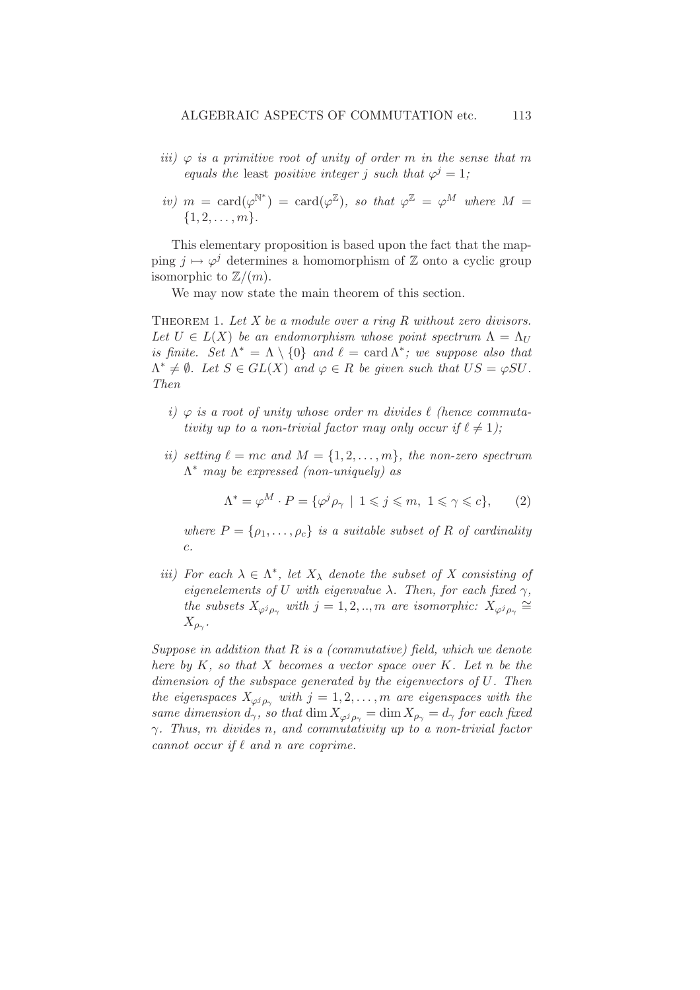- iii)  $\varphi$  is a primitive root of unity of order m in the sense that m equals the least positive integer j such that  $\varphi^j = 1$ ;
- iv)  $m = \text{card}(\varphi^{\mathbb{N}^*}) = \text{card}(\varphi^{\mathbb{Z}})$ , so that  $\varphi^{\mathbb{Z}} = \varphi^M$  where  $M =$  ${1, 2, \ldots, m}$ .

This elementary proposition is based upon the fact that the mapping  $j \mapsto \varphi^j$  determines a homomorphism of  $\mathbb Z$  onto a cyclic group isomorphic to  $\mathbb{Z}/(m)$ .

We may now state the main theorem of this section.

THEOREM 1. Let  $X$  be a module over a ring  $R$  without zero divisors. Let  $U \in L(X)$  be an endomorphism whose point spectrum  $\Lambda = \Lambda_U$ is finite. Set  $\Lambda^* = \Lambda \setminus \{0\}$  and  $\ell = \text{card }\Lambda^*$ ; we suppose also that  $\Lambda^* \neq \emptyset$ . Let  $S \in GL(X)$  and  $\varphi \in R$  be given such that  $US = \varphi SU$ . Then

- i)  $\varphi$  is a root of unity whose order m divides  $\ell$  (hence commutativity up to a non-trivial factor may only occur if  $\ell \neq 1$ ;
- ii) setting  $\ell = mc$  and  $M = \{1, 2, ..., m\}$ , the non-zero spectrum  $\Lambda^*$  may be expressed (non-uniquely) as

$$
\Lambda^* = \varphi^M \cdot P = \{ \varphi^j \rho_\gamma \mid 1 \leqslant j \leqslant m, \ 1 \leqslant \gamma \leqslant c \},\qquad(2)
$$

where  $P = \{\rho_1, \ldots, \rho_c\}$  is a suitable subset of R of cardinality c.

iii) For each  $\lambda \in \Lambda^*$ , let  $X_{\lambda}$  denote the subset of X consisting of eigenelements of U with eigenvalue  $\lambda$ . Then, for each fixed  $\gamma$ , the subsets  $X_{\varphi^j \rho_\gamma}$  with  $j = 1, 2, ..., m$  are isomorphic:  $X_{\varphi^j \rho_\gamma} \cong$  $X_{\rho_\gamma}.$ 

Suppose in addition that  $R$  is a (commutative) field, which we denote here by  $K$ , so that  $X$  becomes a vector space over  $K$ . Let n be the dimension of the subspace generated by the eigenvectors of U. Then the eigenspaces  $X_{\varphi^j\rho_\gamma}$  with  $j = 1, 2, \ldots, m$  are eigenspaces with the same dimension  $d_{\gamma}$ , so that  $\dim X_{\varphi^j}$  =  $\dim X_{\varphi_{\gamma}} = d_{\gamma}$  for each fixed  $\gamma$ . Thus, m divides n, and commutativity up to a non-trivial factor cannot occur if  $\ell$  and n are coprime.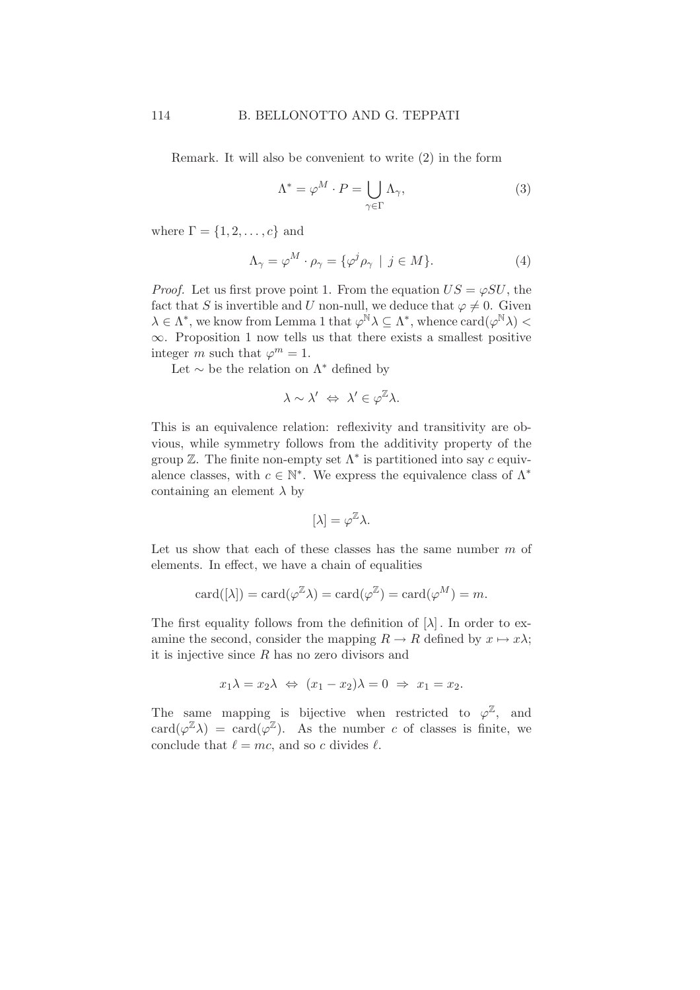Remark. It will also be convenient to write (2) in the form

$$
\Lambda^* = \varphi^M \cdot P = \bigcup_{\gamma \in \Gamma} \Lambda_{\gamma},\tag{3}
$$

where  $\Gamma = \{1, 2, \ldots, c\}$  and

$$
\Lambda_{\gamma} = \varphi^M \cdot \rho_{\gamma} = {\varphi^j \rho_{\gamma} \mid j \in M}.
$$
 (4)

*Proof.* Let us first prove point 1. From the equation  $US = \varphi SU$ , the fact that S is invertible and U non-null, we deduce that  $\varphi \neq 0$ . Given  $\lambda \in \Lambda^*$ , we know from Lemma 1 that  $\varphi^{\dot{\mathbb{N}}}\lambda \subseteq \Lambda^*$ , whence  $\mathrm{card}(\varphi^{\mathbb{N}}\lambda)$  <  $\infty$ . Proposition 1 now tells us that there exists a smallest positive integer m such that  $\varphi^m = 1$ .

Let  $\sim$  be the relation on  $\Lambda^*$  defined by

$$
\lambda \sim \lambda' \iff \lambda' \in \varphi^{\mathbb{Z}} \lambda.
$$

This is an equivalence relation: reflexivity and transitivity are obvious, while symmetry follows from the additivity property of the group  $\mathbb Z$ . The finite non-empty set  $\Lambda^*$  is partitioned into say c equivalence classes, with  $c \in \mathbb{N}^*$ . We express the equivalence class of  $\Lambda^*$ containing an element  $\lambda$  by

$$
[\lambda] = \varphi^{\mathbb{Z}} \lambda.
$$

Let us show that each of these classes has the same number  $m$  of elements. In effect, we have a chain of equalities

$$
card([\lambda]) = card(\varphi^{\mathbb{Z}} \lambda) = card(\varphi^{\mathbb{Z}}) = card(\varphi^M) = m.
$$

The first equality follows from the definition of  $[\lambda]$ . In order to examine the second, consider the mapping  $R \to R$  defined by  $x \mapsto x\lambda$ ; it is injective since  $R$  has no zero divisors and

$$
x_1 \lambda = x_2 \lambda \Leftrightarrow (x_1 - x_2)\lambda = 0 \Rightarrow x_1 = x_2.
$$

The same mapping is bijective when restricted to  $\varphi^{\mathbb{Z}}$ , and  $card(\varphi^{\mathbb{Z}}\lambda) = card(\varphi^{\mathbb{Z}})$ . As the number c of classes is finite, we conclude that  $\ell = mc$ , and so c divides  $\ell$ .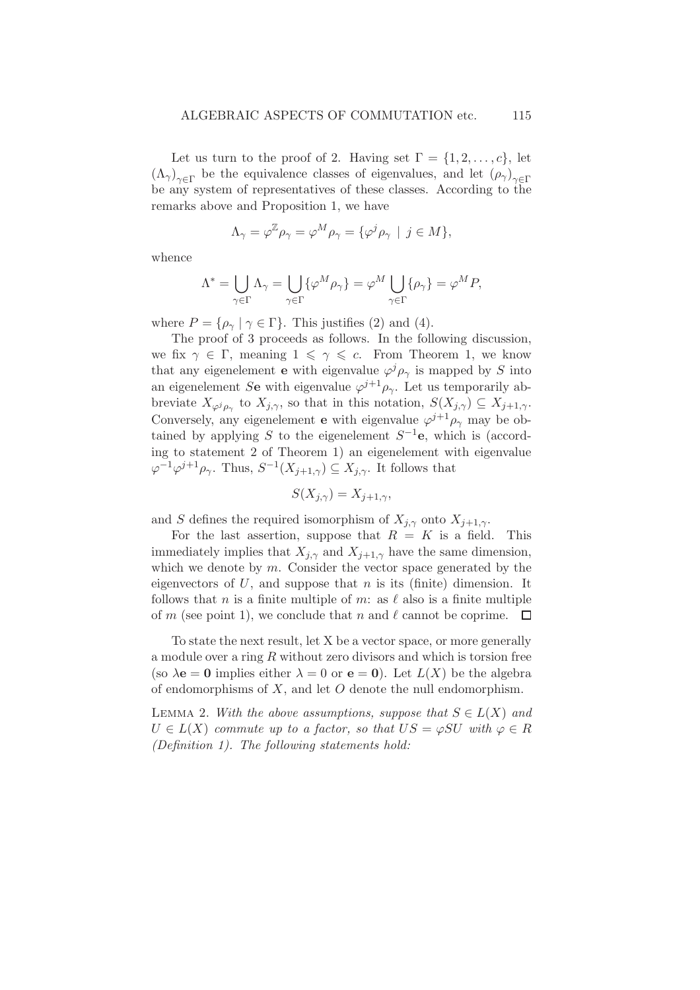Let us turn to the proof of 2. Having set  $\Gamma = \{1, 2, \ldots, c\}$ , let  $(\Lambda_{\gamma})_{\gamma \in \Gamma}$  be the equivalence classes of eigenvalues, and let  $(\rho_{\gamma})_{\gamma \in \Gamma}$ be any system of representatives of these classes. According to the remarks above and Proposition 1, we have

$$
\Lambda_{\gamma} = \varphi^{\mathbb{Z}} \rho_{\gamma} = \varphi^M \rho_{\gamma} = {\varphi^j \rho_{\gamma} \mid j \in M},
$$

whence

$$
\Lambda^*=\bigcup_{\gamma\in\Gamma}\Lambda_\gamma=\bigcup_{\gamma\in\Gamma}\{\varphi^M\rho_\gamma\}=\varphi^M\bigcup_{\gamma\in\Gamma}\{\rho_\gamma\}=\varphi^MP,
$$

where  $P = {\rho_{\gamma} \mid \gamma \in \Gamma}$ . This justifies (2) and (4).

The proof of 3 proceeds as follows. In the following discussion, we fix  $\gamma \in \Gamma$ , meaning  $1 \leq \gamma \leq c$ . From Theorem 1, we know that any eigenelement **e** with eigenvalue  $\varphi^j \rho_\gamma$  is mapped by S into an eigenelement Se with eigenvalue  $\varphi^{j+1}\rho_{\gamma}$ . Let us temporarily abbreviate  $X_{\varphi^j\rho_\gamma}$  to  $X_{j,\gamma}$ , so that in this notation,  $S(X_{j,\gamma}) \subseteq X_{j+1,\gamma}$ . Conversely, any eigenelement **e** with eigenvalue  $\varphi^{j+1}\rho_{\gamma}$  may be obtained by applying S to the eigenelement  $S^{-1}$ e, which is (according to statement 2 of Theorem 1) an eigenelement with eigenvalue  $\varphi^{-1}\varphi^{j+1}\rho_{\gamma}$ . Thus,  $S^{-1}(X_{j+1,\gamma}) \subseteq X_{j,\gamma}$ . It follows that

$$
S(X_{j,\gamma}) = X_{j+1,\gamma},
$$

and S defines the required isomorphism of  $X_{j,\gamma}$  onto  $X_{j+1,\gamma}$ .

For the last assertion, suppose that  $R = K$  is a field. This immediately implies that  $X_{j,\gamma}$  and  $X_{j+1,\gamma}$  have the same dimension, which we denote by  $m$ . Consider the vector space generated by the eigenvectors of  $U$ , and suppose that  $n$  is its (finite) dimension. It follows that n is a finite multiple of m: as  $\ell$  also is a finite multiple of m (see point 1), we conclude that n and  $\ell$  cannot be coprime.  $\Box$ 

To state the next result, let X be a vector space, or more generally a module over a ring  $R$  without zero divisors and which is torsion free (so  $\lambda e = 0$  implies either  $\lambda = 0$  or  $e = 0$ ). Let  $L(X)$  be the algebra of endomorphisms of X, and let  $O$  denote the null endomorphism.

LEMMA 2. With the above assumptions, suppose that  $S \in L(X)$  and  $U \in L(X)$  commute up to a factor, so that  $US = \varphi SU$  with  $\varphi \in R$ (Definition 1). The following statements hold: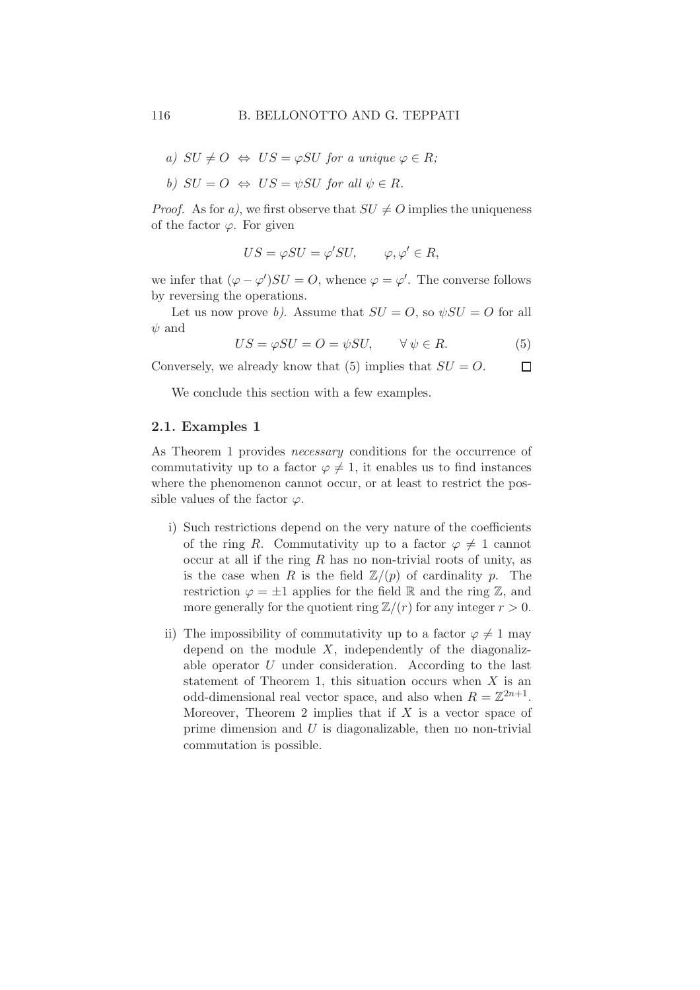a) 
$$
SU \neq O \Leftrightarrow US = \varphi SU
$$
 for a unique  $\varphi \in R$ ;

b) 
$$
SU = O \Leftrightarrow US = \psi SU
$$
 for all  $\psi \in R$ .

*Proof.* As for a), we first observe that  $SU \neq O$  implies the uniqueness of the factor  $\varphi$ . For given

$$
US = \varphi SU = \varphi'SU, \qquad \varphi, \varphi' \in R,
$$

we infer that  $(\varphi - \varphi')SU = O$ , whence  $\varphi = \varphi'$ . The converse follows by reversing the operations.

Let us now prove b). Assume that  $SU = O$ , so  $\psi SU = O$  for all  $\psi$  and

$$
US = \varphi SU = O = \psi SU, \qquad \forall \psi \in R. \tag{5}
$$

Conversely, we already know that (5) implies that  $SU = O$ .  $\Box$ 

We conclude this section with a few examples.

### 2.1. Examples 1

As Theorem 1 provides *necessary* conditions for the occurrence of commutativity up to a factor  $\varphi \neq 1$ , it enables us to find instances where the phenomenon cannot occur, or at least to restrict the possible values of the factor  $\varphi$ .

- i) Such restrictions depend on the very nature of the coefficients of the ring R. Commutativity up to a factor  $\varphi \neq 1$  cannot occur at all if the ring  $R$  has no non-trivial roots of unity, as is the case when R is the field  $\mathbb{Z}/(p)$  of cardinality p. The restriction  $\varphi = \pm 1$  applies for the field R and the ring Z, and more generally for the quotient ring  $\mathbb{Z}/(r)$  for any integer  $r > 0$ .
- ii) The impossibility of commutativity up to a factor  $\varphi \neq 1$  may depend on the module  $X$ , independently of the diagonalizable operator U under consideration. According to the last statement of Theorem 1, this situation occurs when  $X$  is an odd-dimensional real vector space, and also when  $R = \mathbb{Z}^{2n+1}$ . Moreover, Theorem 2 implies that if  $X$  is a vector space of prime dimension and  $U$  is diagonalizable, then no non-trivial commutation is possible.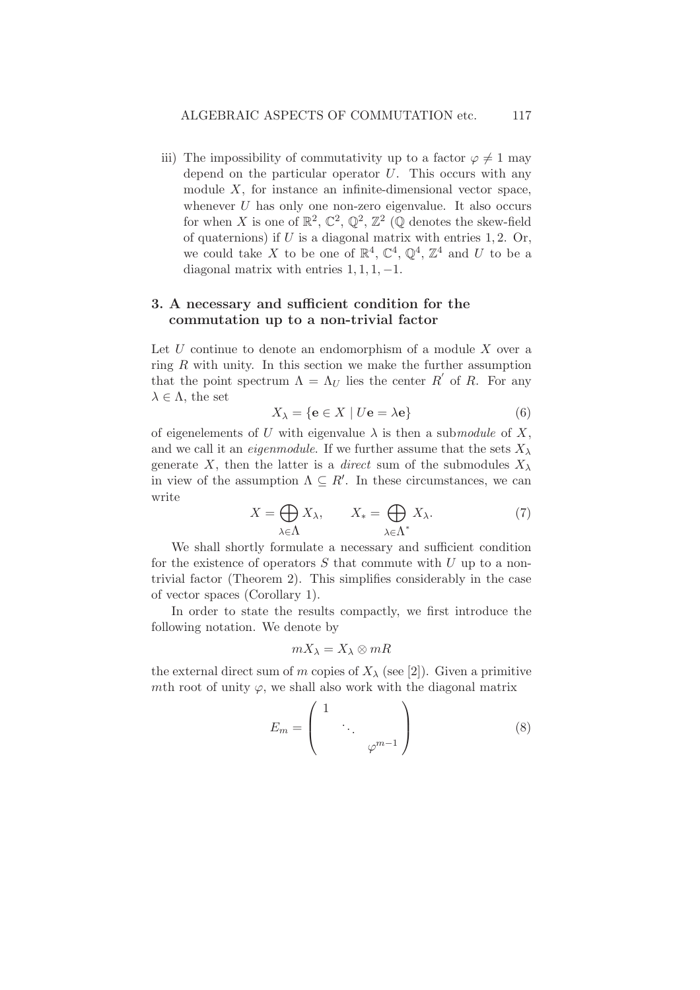iii) The impossibility of commutativity up to a factor  $\varphi \neq 1$  may depend on the particular operator  $U$ . This occurs with any module X, for instance an infinite-dimensional vector space, whenever  $U$  has only one non-zero eigenvalue. It also occurs for when X is one of  $\mathbb{R}^2$ ,  $\mathbb{C}^2$ ,  $\mathbb{Q}^2$ ,  $\mathbb{Z}^2$  (Q denotes the skew-field of quaternions) if  $U$  is a diagonal matrix with entries 1, 2. Or, we could take X to be one of  $\mathbb{R}^4$ ,  $\mathbb{C}^4$ ,  $\mathbb{Q}^4$ ,  $\mathbb{Z}^4$  and U to be a diagonal matrix with entries  $1, 1, 1, -1$ .

## 3. A necessary and sufficient condition for the commutation up to a non-trivial factor

Let  $U$  continue to denote an endomorphism of a module  $X$  over a ring  $R$  with unity. In this section we make the further assumption that the point spectrum  $\Lambda = \Lambda_U$  lies the center R' of R. For any  $\lambda \in \Lambda$ , the set

$$
X_{\lambda} = \{ \mathbf{e} \in X \mid U\mathbf{e} = \lambda \mathbf{e} \}
$$
 (6)

of eigenelements of U with eigenvalue  $\lambda$  is then a submodule of X, and we call it an *eigenmodule*. If we further assume that the sets  $X_{\lambda}$ generate X, then the latter is a *direct* sum of the submodules  $X_{\lambda}$ in view of the assumption  $\Lambda \subseteq R'$ . In these circumstances, we can write

$$
X = \bigoplus_{\lambda \in \Lambda} X_{\lambda}, \qquad X_{*} = \bigoplus_{\lambda \in \Lambda^{*}} X_{\lambda}.
$$
 (7)

We shall shortly formulate a necessary and sufficient condition for the existence of operators  $S$  that commute with  $U$  up to a nontrivial factor (Theorem 2). This simplifies considerably in the case of vector spaces (Corollary 1).

In order to state the results compactly, we first introduce the following notation. We denote by

$$
mX_\lambda=X_\lambda\otimes mR
$$

the external direct sum of m copies of  $X_{\lambda}$  (see [2]). Given a primitive mth root of unity  $\varphi$ , we shall also work with the diagonal matrix

$$
E_m = \begin{pmatrix} 1 & & & \\ & \ddots & & \\ & & \varphi^{m-1} \end{pmatrix}
$$
 (8)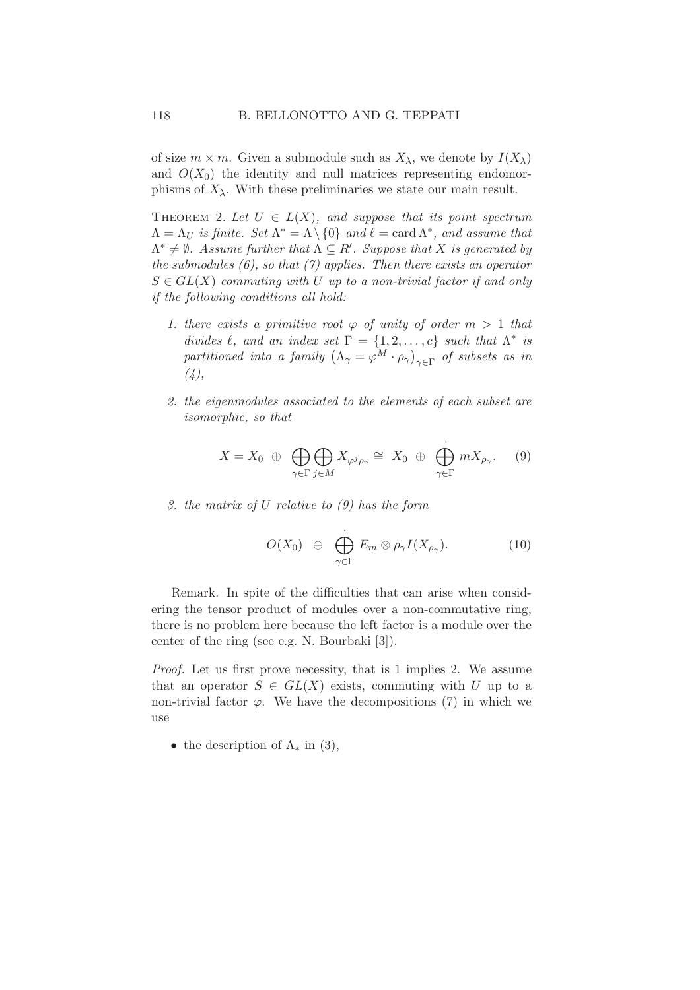of size  $m \times m$ . Given a submodule such as  $X_{\lambda}$ , we denote by  $I(X_{\lambda})$ and  $O(X_0)$  the identity and null matrices representing endomorphisms of  $X_{\lambda}$ . With these preliminaries we state our main result.

THEOREM 2. Let  $U \in L(X)$ , and suppose that its point spectrum  $\Lambda = \Lambda_U$  is finite. Set  $\Lambda^* = \overline{\Lambda} \setminus \{0\}$  and  $\ell = \text{card }\Lambda^*$ , and assume that  $\Lambda^* \neq \emptyset$ . Assume further that  $\Lambda \subseteq R'$ . Suppose that X is generated by the submodules  $(6)$ , so that  $(7)$  applies. Then there exists an operator  $S \in GL(X)$  commuting with U up to a non-trivial factor if and only if the following conditions all hold:

- 1. there exists a primitive root  $\varphi$  of unity of order  $m > 1$  that divides  $\ell$ , and an index set  $\Gamma = \{1, 2, ..., c\}$  such that  $\Lambda^*$  is partitioned into a family  $\left(\Lambda_{\gamma} = \varphi^M \cdot \rho_{\gamma}\right)_{\gamma \in \Gamma}$  of subsets as in  $(4),$
- 2. the eigenmodules associated to the elements of each subset are isomorphic, so that

$$
X = X_0 \oplus \bigoplus_{\gamma \in \Gamma} \bigoplus_{j \in M} X_{\varphi^j \rho_\gamma} \cong X_0 \oplus \bigoplus_{\gamma \in \Gamma}^{\cdot} m X_{\rho_\gamma}. \tag{9}
$$

3. the matrix of U relative to (9) has the form

$$
O(X_0) \oplus \bigoplus_{\gamma \in \Gamma} E_m \otimes \rho_{\gamma} I(X_{\rho_{\gamma}}). \tag{10}
$$

Remark. In spite of the difficulties that can arise when considering the tensor product of modules over a non-commutative ring, there is no problem here because the left factor is a module over the center of the ring (see e.g. N. Bourbaki [3]).

Proof. Let us first prove necessity, that is 1 implies 2. We assume that an operator  $S \in GL(X)$  exists, commuting with U up to a non-trivial factor  $\varphi$ . We have the decompositions (7) in which we use

• the description of  $\Lambda_*$  in (3),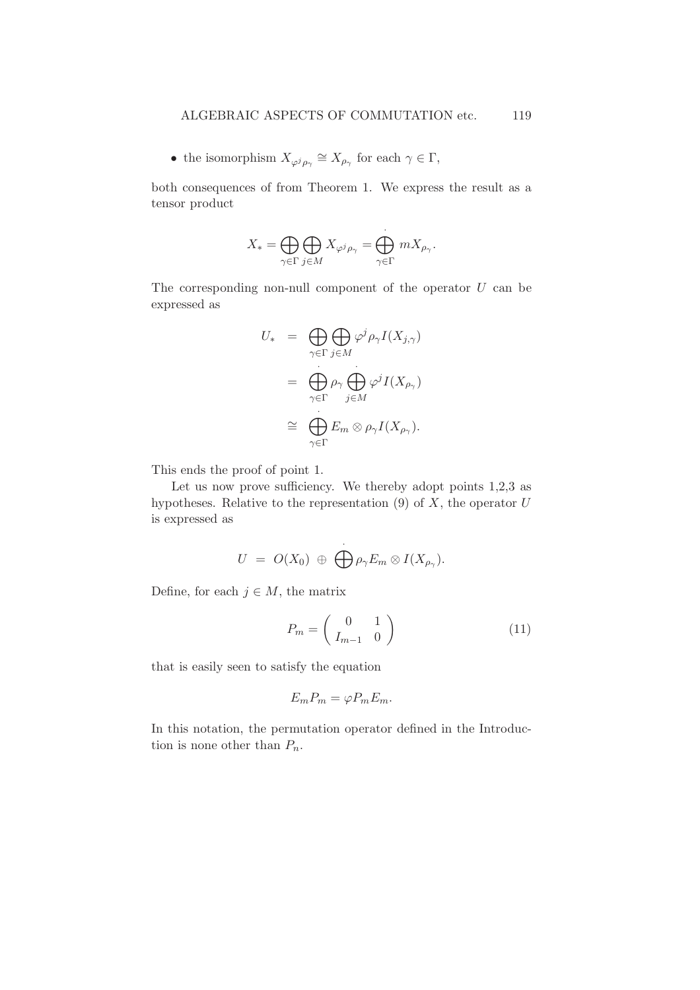• the isomorphism  $X_{\varphi^j \rho_\gamma} \cong X_{\rho_\gamma}$  for each  $\gamma \in \Gamma$ ,

both consequences of from Theorem 1. We express the result as a tensor product

$$
X_* = \bigoplus_{\gamma \in \Gamma} \bigoplus_{j \in M} X_{\varphi^j \rho_\gamma} = \bigoplus_{\gamma \in \Gamma} m X_{\rho_\gamma}.
$$

The corresponding non-null component of the operator  $U$  can be expressed as

$$
U_* = \bigoplus_{\gamma \in \Gamma} \bigoplus_{j \in M} \varphi^j \rho_{\gamma} I(X_{j,\gamma})
$$
  
= 
$$
\bigoplus_{\gamma \in \Gamma} \rho_{\gamma} \bigoplus_{j \in M} \varphi^j I(X_{\rho_{\gamma}})
$$
  

$$
\cong \bigoplus_{\gamma \in \Gamma} E_m \otimes \rho_{\gamma} I(X_{\rho_{\gamma}}).
$$

This ends the proof of point 1.

Let us now prove sufficiency. We thereby adopt points  $1,2,3$  as hypotheses. Relative to the representation  $(9)$  of  $X$ , the operator  $U$ is expressed as

$$
U = O(X_0) \oplus \bigoplus_{\rho \gamma} E_m \otimes I(X_{\rho_\gamma}).
$$

Define, for each  $j \in M$ , the matrix

$$
P_m = \left(\begin{array}{cc} 0 & 1\\ I_{m-1} & 0 \end{array}\right) \tag{11}
$$

that is easily seen to satisfy the equation

$$
E_m P_m = \varphi P_m E_m.
$$

In this notation, the permutation operator defined in the Introduction is none other than  $P_n$ .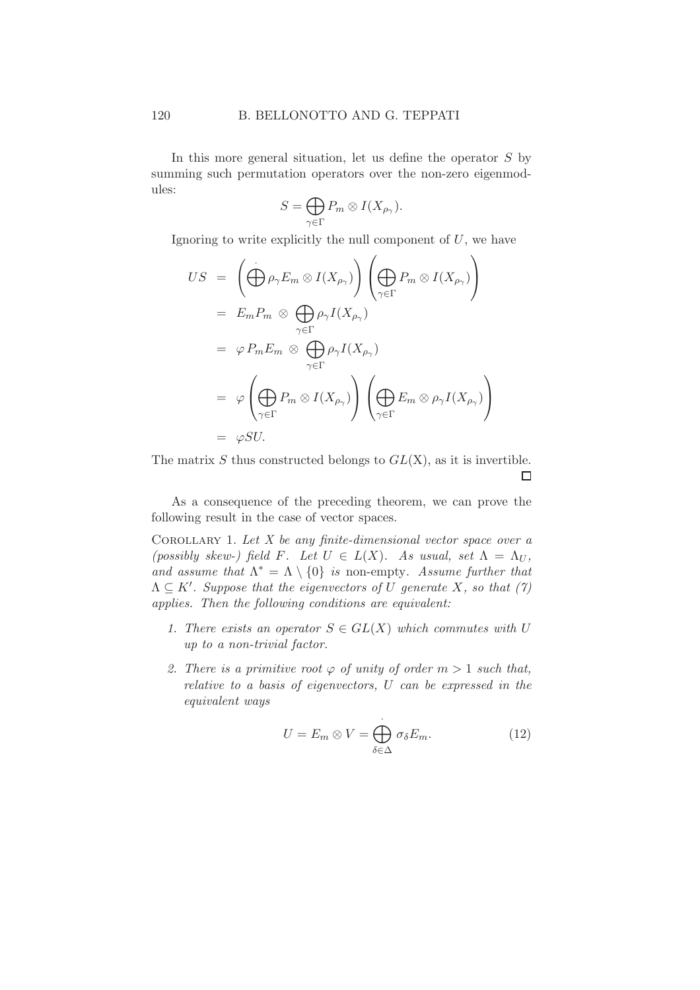In this more general situation, let us define the operator  $S$  by summing such permutation operators over the non-zero eigenmodules:

$$
S = \bigoplus_{\gamma \in \Gamma} P_m \otimes I(X_{\rho_\gamma}).
$$

Ignoring to write explicitly the null component of  $U$ , we have

$$
US = \left(\bigoplus_{\gamma \in \Gamma} \rho_{\gamma} E_m \otimes I(X_{\rho_{\gamma}})\right) \left(\bigoplus_{\gamma \in \Gamma} P_m \otimes I(X_{\rho_{\gamma}})\right)
$$
  
\n
$$
= E_m P_m \otimes \bigoplus_{\gamma \in \Gamma} \rho_{\gamma} I(X_{\rho_{\gamma}})
$$
  
\n
$$
= \varphi P_m E_m \otimes \bigoplus_{\gamma \in \Gamma} \rho_{\gamma} I(X_{\rho_{\gamma}})
$$
  
\n
$$
= \varphi \left(\bigoplus_{\gamma \in \Gamma} P_m \otimes I(X_{\rho_{\gamma}})\right) \left(\bigoplus_{\gamma \in \Gamma} E_m \otimes \rho_{\gamma} I(X_{\rho_{\gamma}})\right)
$$
  
\n
$$
= \varphi SU.
$$

The matrix  $S$  thus constructed belongs to  $GL(X)$ , as it is invertible.  $\Box$ 

As a consequence of the preceding theorem, we can prove the following result in the case of vector spaces.

COROLLARY 1. Let  $X$  be any finite-dimensional vector space over a (possibly skew-) field F. Let  $U \in L(X)$ . As usual, set  $\Lambda = \Lambda_U$ , and assume that  $\Lambda^* = \Lambda \setminus \{0\}$  is non-empty. Assume further that  $\Lambda \subseteq K'$ . Suppose that the eigenvectors of U generate X, so that (7) applies. Then the following conditions are equivalent:

- 1. There exists an operator  $S \in GL(X)$  which commutes with U up to a non-trivial factor.
- 2. There is a primitive root  $\varphi$  of unity of order  $m > 1$  such that, relative to a basis of eigenvectors, U can be expressed in the equivalent ways

$$
U = E_m \otimes V = \bigoplus_{\delta \in \Delta} \sigma_{\delta} E_m.
$$
 (12)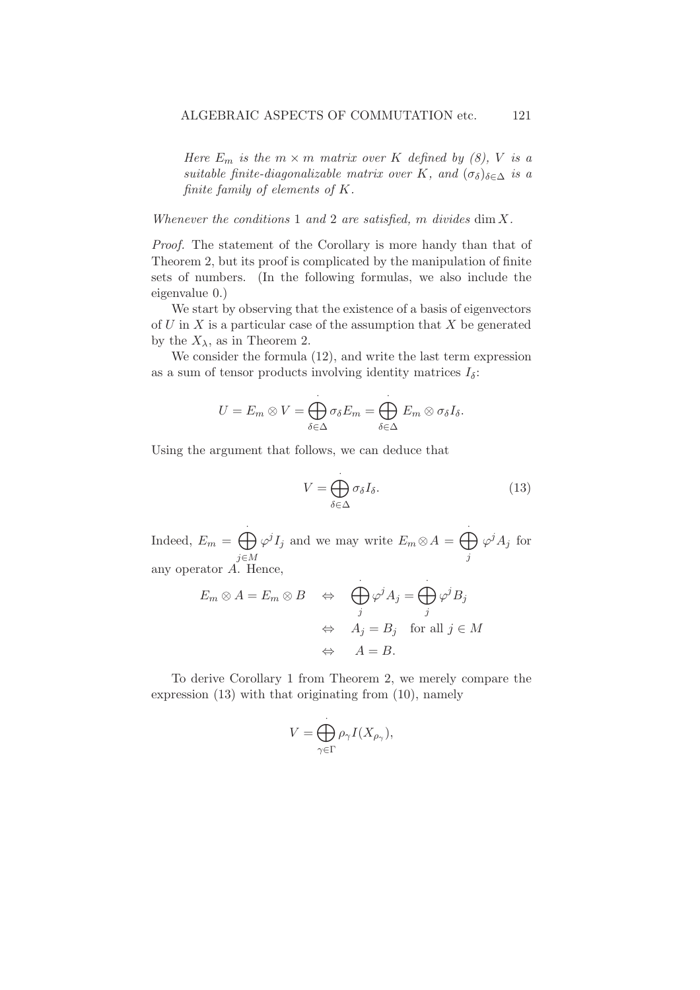Here  $E_m$  is the  $m \times m$  matrix over K defined by (8), V is a suitable finite-diagonalizable matrix over K, and  $(\sigma_{\delta})_{\delta \in \Delta}$  is a finite family of elements of K.

Whenever the conditions 1 and 2 are satisfied,  $m$  divides  $\dim X$ .

Proof. The statement of the Corollary is more handy than that of Theorem 2, but its proof is complicated by the manipulation of finite sets of numbers. (In the following formulas, we also include the eigenvalue 0.)

We start by observing that the existence of a basis of eigenvectors of  $U$  in  $X$  is a particular case of the assumption that  $X$  be generated by the  $X_{\lambda}$ , as in Theorem 2.

We consider the formula (12), and write the last term expression as a sum of tensor products involving identity matrices  $I_{\delta}$ :

$$
U = E_m \otimes V = \bigoplus_{\delta \in \Delta} \sigma_{\delta} E_m = \bigoplus_{\delta \in \Delta} E_m \otimes \sigma_{\delta} I_{\delta}.
$$

Using the argument that follows, we can deduce that

$$
V = \bigoplus_{\delta \in \Delta} \sigma_{\delta} I_{\delta}.
$$
 (13)

Indeed,  $E_m = \bigoplus$ j∈M  $\varphi^j I_j$  and we may write  $E_m \otimes A = \bigoplus$ j  $\varphi^j A_j$  for any operator A. Hence,

$$
E_m \otimes A = E_m \otimes B \quad \Leftrightarrow \quad \bigoplus_j \varphi^j A_j = \bigoplus_j \varphi^j B_j
$$
  

$$
\Leftrightarrow \quad A_j = B_j \quad \text{for all } j \in M
$$
  

$$
\Leftrightarrow \quad A = B.
$$

To derive Corollary 1 from Theorem 2, we merely compare the expression (13) with that originating from (10), namely

$$
V = \bigoplus_{\gamma \in \Gamma} \rho_{\gamma} I(X_{\rho_{\gamma}}),
$$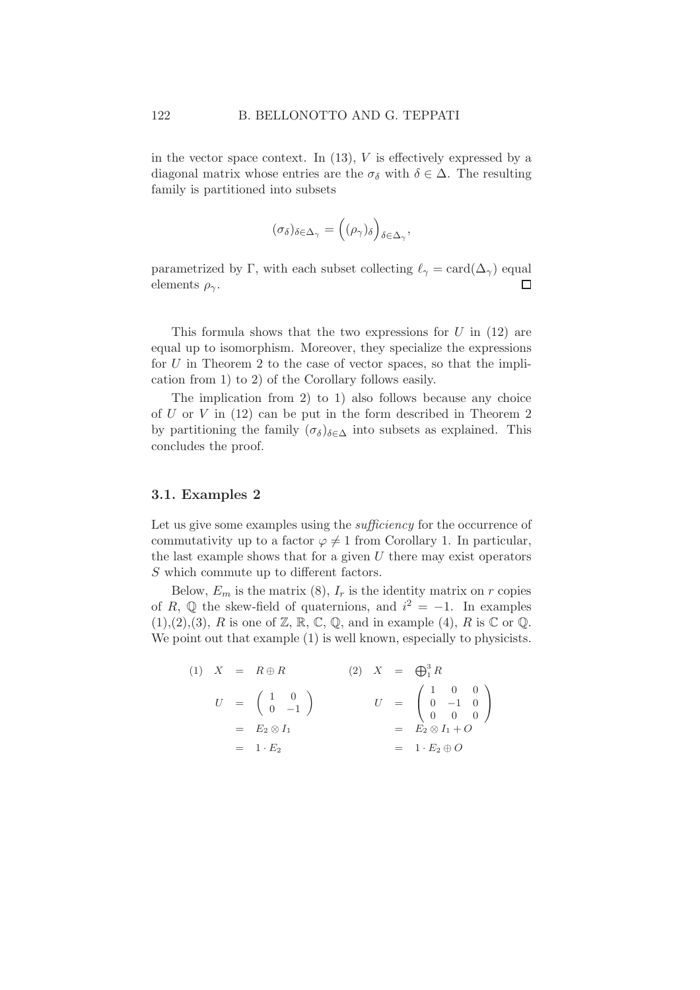in the vector space context. In  $(13)$ , V is effectively expressed by a diagonal matrix whose entries are the  $\sigma_{\delta}$  with  $\delta \in \Delta$ . The resulting family is partitioned into subsets

$$
(\sigma_{\delta})_{\delta \in \Delta_{\gamma}} = ((\rho_{\gamma})_{\delta})_{\delta \in \Delta_{\gamma}},
$$

parametrized by Γ, with each subset collecting  $\ell_{\gamma} = \text{card}(\Delta_{\gamma})$  equal elements  $\rho_{\gamma}$ .  $\Box$ 

This formula shows that the two expressions for  $U$  in (12) are equal up to isomorphism. Moreover, they specialize the expressions for  $U$  in Theorem 2 to the case of vector spaces, so that the implication from 1) to 2) of the Corollary follows easily.

The implication from 2) to 1) also follows because any choice of  $U$  or  $V$  in (12) can be put in the form described in Theorem 2 by partitioning the family  $(\sigma_{\delta})_{\delta \in \Delta}$  into subsets as explained. This concludes the proof.

## 3.1. Examples 2

Let us give some examples using the *sufficiency* for the occurrence of commutativity up to a factor  $\varphi \neq 1$  from Corollary 1. In particular, the last example shows that for a given  $U$  there may exist operators S which commute up to different factors.

Below,  $E_m$  is the matrix (8),  $I_r$  is the identity matrix on r copies of R,  $\mathbb Q$  the skew-field of quaternions, and  $i^2 = -1$ . In examples  $(1),(2),(3), R$  is one of Z, R, C, Q, and in example (4), R is C or Q. We point out that example  $(1)$  is well known, especially to physicists.

(1) 
$$
X = R \oplus R
$$
  
\n $U = \begin{pmatrix} 1 & 0 \\ 0 & -1 \end{pmatrix}$   
\n $U = \begin{pmatrix} 1 & 0 \\ 0 & -1 \end{pmatrix}$   
\n $U = \begin{pmatrix} 1 & 0 & 0 \\ 0 & -1 & 0 \\ 0 & 0 & 0 \end{pmatrix}$   
\n $= E_2 \otimes I_1$   
\n $= 1 \cdot E_2$   
\n $= 1 \cdot E_2 \oplus O$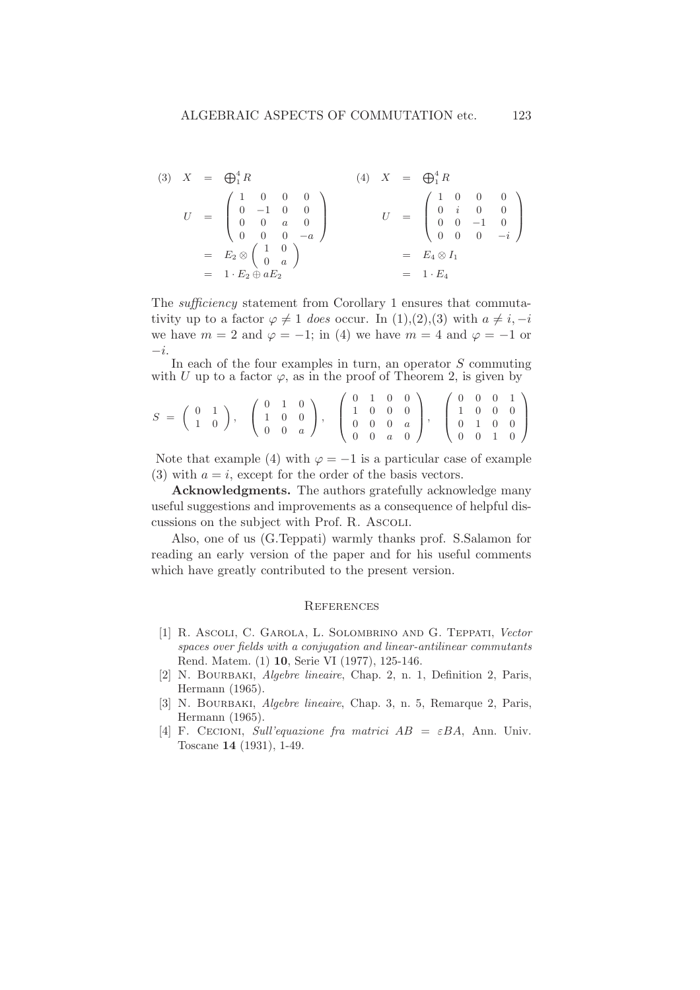$$
(3) \quad X = \bigoplus_{1}^{4} R \qquad (4) \quad X = \bigoplus_{1}^{4} R
$$
\n
$$
U = \begin{pmatrix} 1 & 0 & 0 & 0 \\ 0 & -1 & 0 & 0 \\ 0 & 0 & a & 0 \\ 0 & 0 & 0 & -a \end{pmatrix} \qquad U = \begin{pmatrix} 1 & 0 & 0 & 0 \\ 0 & i & 0 & 0 \\ 0 & 0 & -1 & 0 \\ 0 & 0 & 0 & -i \end{pmatrix}
$$
\n
$$
= E_2 \otimes \begin{pmatrix} 1 & 0 \\ 0 & i & 0 \\ 0 & 0 & 0 \end{pmatrix}
$$
\n
$$
= E_4 \otimes I_1
$$
\n
$$
= 1 \cdot E_4
$$

The sufficiency statement from Corollary 1 ensures that commutativity up to a factor  $\varphi \neq 1$  does occur. In (1),(2),(3) with  $a \neq i, -i$ we have  $m = 2$  and  $\varphi = -1$ ; in (4) we have  $m = 4$  and  $\varphi = -1$  or  $-i$ .

In each of the four examples in turn, an operator  $S$  commuting with U up to a factor  $\varphi$ , as in the proof of Theorem 2, is given by

$$
S = \left(\begin{array}{cc} 0 & 1 \\ 1 & 0 \end{array}\right), \quad \left(\begin{array}{ccc} 0 & 1 & 0 \\ 1 & 0 & 0 \\ 0 & 0 & a \end{array}\right), \quad \left(\begin{array}{ccc} 0 & 1 & 0 & 0 \\ 1 & 0 & 0 & 0 \\ 0 & 0 & 0 & a \\ 0 & 0 & a & 0 \end{array}\right), \quad \left(\begin{array}{ccc} 0 & 0 & 0 & 1 \\ 1 & 0 & 0 & 0 \\ 0 & 1 & 0 & 0 \\ 0 & 0 & 1 & 0 \end{array}\right)
$$

Note that example (4) with  $\varphi = -1$  is a particular case of example (3) with  $a = i$ , except for the order of the basis vectors.

Acknowledgments. The authors gratefully acknowledge many useful suggestions and improvements as a consequence of helpful discussions on the subject with Prof. R. Ascoli.

Also, one of us (G.Teppati) warmly thanks prof. S.Salamon for reading an early version of the paper and for his useful comments which have greatly contributed to the present version.

#### **REFERENCES**

- [1] R. Ascoli, C. Garola, L. Solombrino and G. Teppati, Vector spaces over fields with a conjugation and linear-antilinear commutants Rend. Matem. (1) 10, Serie VI (1977), 125-146.
- [2] N. BOURBAKI, *Algebre lineaire*, Chap. 2, n. 1, Definition 2, Paris, Hermann (1965).
- [3] N. BOURBAKI, *Algebre lineaire*, Chap. 3, n. 5, Remarque 2, Paris, Hermann (1965).
- [4] F. CECIONI, Sull'equazione fra matrici  $AB = \varepsilon BA$ , Ann. Univ. Toscane 14 (1931), 1-49.